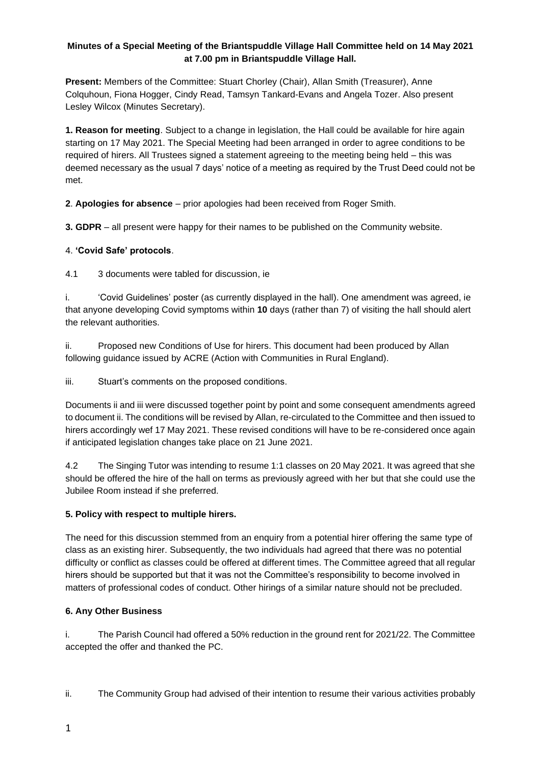### **Minutes of a Special Meeting of the Briantspuddle Village Hall Committee held on 14 May 2021 at 7.00 pm in Briantspuddle Village Hall.**

**Present:** Members of the Committee: Stuart Chorley (Chair), Allan Smith (Treasurer), Anne Colquhoun, Fiona Hogger, Cindy Read, Tamsyn Tankard-Evans and Angela Tozer. Also present Lesley Wilcox (Minutes Secretary).

**1. Reason for meeting**. Subject to a change in legislation, the Hall could be available for hire again starting on 17 May 2021. The Special Meeting had been arranged in order to agree conditions to be required of hirers. All Trustees signed a statement agreeing to the meeting being held – this was deemed necessary as the usual 7 days' notice of a meeting as required by the Trust Deed could not be met.

**2**. **Apologies for absence** – prior apologies had been received from Roger Smith.

**3. GDPR** – all present were happy for their names to be published on the Community website.

#### 4. **'Covid Safe' protocols**.

4.1 3 documents were tabled for discussion, ie

i. 'Covid Guidelines' poster (as currently displayed in the hall). One amendment was agreed, ie that anyone developing Covid symptoms within **10** days (rather than 7) of visiting the hall should alert the relevant authorities.

ii. Proposed new Conditions of Use for hirers. This document had been produced by Allan following guidance issued by ACRE (Action with Communities in Rural England).

iii. Stuart's comments on the proposed conditions.

Documents ii and iii were discussed together point by point and some consequent amendments agreed to document ii. The conditions will be revised by Allan, re-circulated to the Committee and then issued to hirers accordingly wef 17 May 2021. These revised conditions will have to be re-considered once again if anticipated legislation changes take place on 21 June 2021.

4.2 The Singing Tutor was intending to resume 1:1 classes on 20 May 2021. It was agreed that she should be offered the hire of the hall on terms as previously agreed with her but that she could use the Jubilee Room instead if she preferred.

#### **5. Policy with respect to multiple hirers.**

The need for this discussion stemmed from an enquiry from a potential hirer offering the same type of class as an existing hirer. Subsequently, the two individuals had agreed that there was no potential difficulty or conflict as classes could be offered at different times. The Committee agreed that all regular hirers should be supported but that it was not the Committee's responsibility to become involved in matters of professional codes of conduct. Other hirings of a similar nature should not be precluded.

## **6. Any Other Business**

i. The Parish Council had offered a 50% reduction in the ground rent for 2021/22. The Committee accepted the offer and thanked the PC.

ii. The Community Group had advised of their intention to resume their various activities probably